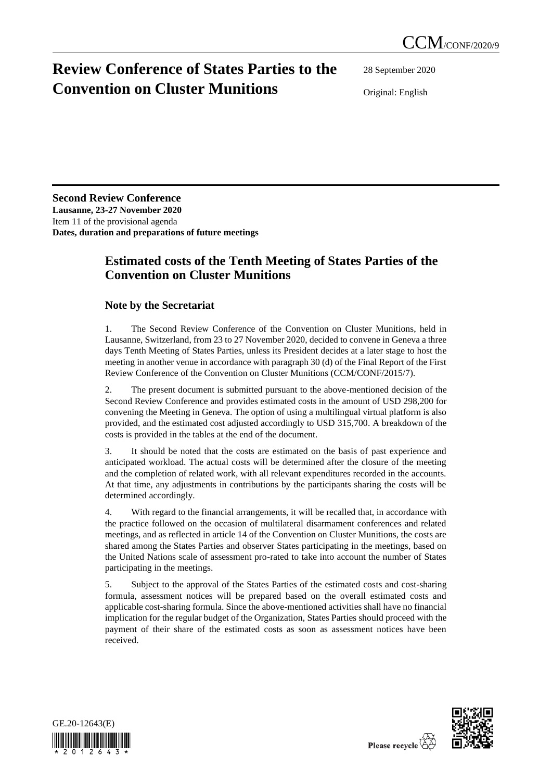## **Review Conference of States Parties to the Convention on Cluster Munitions**

28 September 2020

Original: English

**Second Review Conference Lausanne, 23-27 November 2020** Item 11 of the provisional agenda **Dates, duration and preparations of future meetings**

## **Estimated costs of the Tenth Meeting of States Parties of the Convention on Cluster Munitions**

## **Note by the Secretariat**

1. The Second Review Conference of the Convention on Cluster Munitions, held in Lausanne, Switzerland, from 23 to 27 November 2020, decided to convene in Geneva a three days Tenth Meeting of States Parties, unless its President decides at a later stage to host the meeting in another venue in accordance with paragraph 30 (d) of the Final Report of the First Review Conference of the Convention on Cluster Munitions (CCM/CONF/2015/7).

2. The present document is submitted pursuant to the above-mentioned decision of the Second Review Conference and provides estimated costs in the amount of USD 298,200 for convening the Meeting in Geneva. The option of using a multilingual virtual platform is also provided, and the estimated cost adjusted accordingly to USD 315,700. A breakdown of the costs is provided in the tables at the end of the document.

3. It should be noted that the costs are estimated on the basis of past experience and anticipated workload. The actual costs will be determined after the closure of the meeting and the completion of related work, with all relevant expenditures recorded in the accounts. At that time, any adjustments in contributions by the participants sharing the costs will be determined accordingly.

4. With regard to the financial arrangements, it will be recalled that, in accordance with the practice followed on the occasion of multilateral disarmament conferences and related meetings, and as reflected in article 14 of the Convention on Cluster Munitions, the costs are shared among the States Parties and observer States participating in the meetings, based on the United Nations scale of assessment pro-rated to take into account the number of States participating in the meetings.

5. Subject to the approval of the States Parties of the estimated costs and cost-sharing formula, assessment notices will be prepared based on the overall estimated costs and applicable cost-sharing formula. Since the above-mentioned activities shall have no financial implication for the regular budget of the Organization, States Parties should proceed with the payment of their share of the estimated costs as soon as assessment notices have been received.



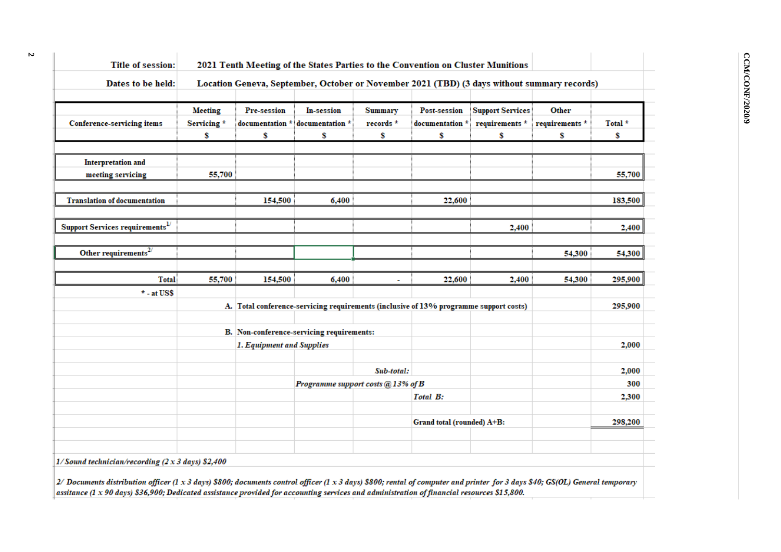| <b>Title of session:</b>                                         |                |                                                                        | 2021 Tenth Meeting of the States Parties to the Convention on Cluster Munitions       |                |                            |                                                                                             |                |         |
|------------------------------------------------------------------|----------------|------------------------------------------------------------------------|---------------------------------------------------------------------------------------|----------------|----------------------------|---------------------------------------------------------------------------------------------|----------------|---------|
| Dates to be held:                                                |                |                                                                        |                                                                                       |                |                            | Location Geneva, September, October or November 2021 (TBD) (3 days without summary records) |                |         |
|                                                                  | <b>Meeting</b> | Pre-session                                                            | In-session                                                                            | <b>Summary</b> | Post-session               | <b>Support Services</b>                                                                     | Other          |         |
| <b>Conference-servicing items</b>                                | Servicing*     | documentation *                                                        | documentation *                                                                       | records $*$    | documentation *            | requirements *                                                                              | requirements * | Total * |
|                                                                  | \$             | \$                                                                     | \$                                                                                    | \$             | \$                         | \$                                                                                          | \$             | \$      |
|                                                                  |                |                                                                        |                                                                                       |                |                            |                                                                                             |                |         |
| <b>Interpretation and</b>                                        |                |                                                                        |                                                                                       |                |                            |                                                                                             |                |         |
| meeting servicing                                                | 55,700         |                                                                        |                                                                                       |                |                            |                                                                                             |                | 55,700  |
| <b>Translation of documentation</b>                              |                | 154,500                                                                | 6,400                                                                                 |                | 22,600                     |                                                                                             |                | 183,500 |
|                                                                  |                |                                                                        |                                                                                       |                |                            |                                                                                             |                |         |
| Support Services requirements <sup>1/</sup>                      |                |                                                                        |                                                                                       |                |                            | 2,400                                                                                       |                | 2,400   |
|                                                                  |                |                                                                        |                                                                                       |                |                            |                                                                                             |                |         |
| Other requirements $^{27}$                                       |                |                                                                        |                                                                                       |                |                            |                                                                                             | 54,300         | 54,300  |
|                                                                  |                |                                                                        |                                                                                       |                |                            |                                                                                             |                |         |
| <b>Total</b>                                                     | 55,700         | 154,500                                                                | 6,400                                                                                 | ÷,             | 22,600                     | 2,400                                                                                       | 54,300         | 295,900 |
| $*$ - at US\$                                                    |                |                                                                        |                                                                                       |                |                            |                                                                                             |                |         |
|                                                                  |                |                                                                        | A. Total conference-servicing requirements (inclusive of 13% programme support costs) |                |                            |                                                                                             |                | 295,900 |
|                                                                  |                | B. Non-conference-servicing requirements:<br>1. Equipment and Supplies |                                                                                       |                |                            |                                                                                             |                |         |
|                                                                  |                |                                                                        |                                                                                       |                |                            |                                                                                             |                | 2,000   |
|                                                                  |                |                                                                        |                                                                                       | Sub-total:     |                            |                                                                                             |                | 2,000   |
|                                                                  |                |                                                                        | Programme support costs @ 13% of B                                                    |                |                            |                                                                                             |                | 300     |
|                                                                  |                |                                                                        |                                                                                       |                | <b>Total B:</b>            |                                                                                             |                | 2,300   |
|                                                                  |                |                                                                        |                                                                                       |                |                            |                                                                                             |                |         |
|                                                                  |                |                                                                        |                                                                                       |                | Grand total (rounded) A+B: |                                                                                             |                | 298,200 |
|                                                                  |                |                                                                        |                                                                                       |                |                            |                                                                                             |                |         |
|                                                                  |                |                                                                        |                                                                                       |                |                            |                                                                                             |                |         |
| 1/Sound technician/recording $(2 \times 3 \text{ days})$ \$2,400 |                |                                                                        |                                                                                       |                |                            |                                                                                             |                |         |

2/ Documents distribution officer (1 x 3 days) \$800; documents control officer (1 x 3 days) \$800; rental of computer and printer for 3 days \$40; GS(OL) General temporary assitance (1 x 90 days) \$36,900; Dedicated assistance provided for accounting services and administration of financial resources \$15,800.